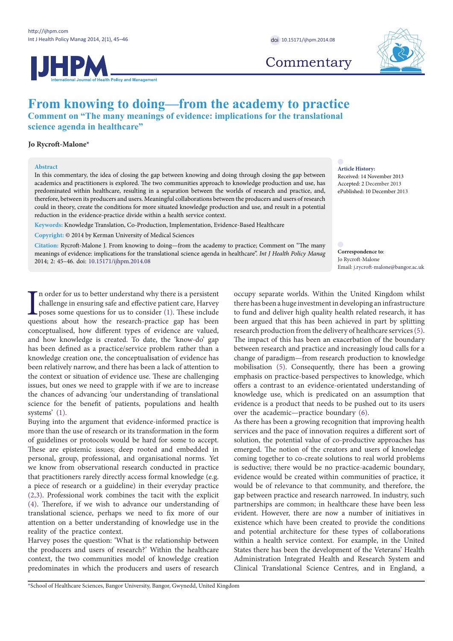**JHPN Policy and Management** 

## **From knowing to doing—from the academy to practice Comment on "The many meanings of evidence: implications for the translational**

**science agenda in healthcare"**

### **Jo Rycroft-Malone[\\*](#page-0-0)**

#### **Abstract**

In this commentary, the idea of closing the gap between knowing and doing through closing the gap between academics and practitioners is explored. The two communities approach to knowledge production and use, has predominated within healthcare, resulting in a separation between the worlds of research and practice, and, therefore, between its producers and users. Meaningful collaborations between the producers and users of research could in theory, create the conditions for more situated knowledge production and use, and result in a potential reduction in the evidence-practice divide within a health service context.

**Keywords:** Knowledge Translation, Co-Production, Implementation, Evidence-Based Healthcare

**Copyright:** © 2014 by Kerman University of Medical Sciences

**Citation:** Rycroft-Malone J. From knowing to doing—from the academy to practice; Comment on "The many meanings of evidence: implications for the translational science agenda in healthcare". *Int J Health Policy Manag*  2014; 2: 45–46. doi: [10.15171/ijhpm.2014.08](http://dx.doi.org/10.15171/ijhpm.2014.08)

In order for us to better understand why there is a persistent challenge in ensuring safe and effective patient care, Harvey poses some questions for us to consider (1). These include questions about how the research-pract n order for us to better understand why there is a persistent challenge in ensuring safe and effective patient care, Harvey poses some questions for us to consider ([1\)](#page-1-0). These include conceptualised, how different types of evidence are valued, and how knowledge is created. To date, the 'know-do' gap has been defined as a practice/service problem rather than a knowledge creation one, the conceptualisation of evidence has been relatively narrow, and there has been a lack of attention to the context or situation of evidence use. These are challenging issues, but ones we need to grapple with if we are to increase the chances of advancing 'our understanding of translational science for the benefit of patients, populations and health systems' [\(1](#page-1-0)).

Buying into the argument that evidence-informed practice is more than the use of research or its transformation in the form of guidelines or protocols would be hard for some to accept. These are epistemic issues; deep rooted and embedded in personal, group, professional, and organisational norms. Yet we know from observational research conducted in practice that practitioners rarely directly access formal knowledge (e.g. a piece of research or a guideline) in their everyday practice [\(2](#page-1-1)[,3](#page-1-2)). Professional work combines the tacit with the explicit [\(4](#page-1-3)). Therefore, if we wish to advance our understanding of translational science, perhaps we need to fix more of our attention on a better understanding of knowledge use in the reality of the practice context.

Harvey poses the question: 'What is the relationship between the producers and users of research?' Within the healthcare context, the two communities model of knowledge creation predominates in which the producers and users of research

**Commentary** 



**Article History:** Received: 14 November 2013 Accepted: 2 December 2013 ePublished: 10 December 2013

**Correspondence to**: Jo Rycroft-Malone Email: j.rycroft-malone@bangor.ac.uk

occupy separate worlds. Within the United Kingdom whilst there has been a huge investment in developing an infrastructure to fund and deliver high quality health related research, it has been argued that this has been achieved in part by splitting research production from the delivery of healthcare services ([5\)](#page-1-4). The impact of this has been an exacerbation of the boundary between research and practice and increasingly loud calls for a change of paradigm—from research production to knowledge mobilisation ([5\)](#page-1-4). Consequently, there has been a growing emphasis on practice-based perspectives to knowledge, which offers a contrast to an evidence-orientated understanding of knowledge use, which is predicated on an assumption that evidence is a product that needs to be pushed out to its users over the academic—practice boundary ([6\)](#page-1-5).

As there has been a growing recognition that improving health services and the pace of innovation requires a different sort of solution, the potential value of co-productive approaches has emerged. The notion of the creators and users of knowledge coming together to co-create solutions to real world problems is seductive; there would be no practice-academic boundary, evidence would be created within communities of practice, it would be of relevance to that community, and therefore, the gap between practice and research narrowed. In industry, such partnerships are common; in healthcare these have been less evident. However, there are now a number of initiatives in existence which have been created to provide the conditions and potential architecture for these types of collaborations within a health service context. For example, in the United States there has been the development of the Veterans' Health Administration Integrated Health and Research System and Clinical Translational Science Centres, and in England, a

<span id="page-0-0"></span>\*School of Healthcare Sciences, Bangor University, Bangor, Gwynedd, United Kingdom